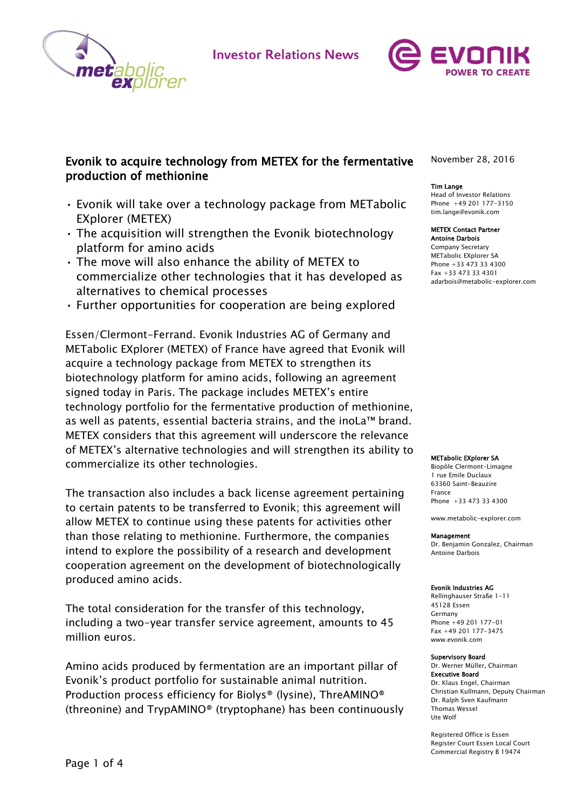

**Investor Relations News** 



# Evonik to acquire technology from METEX for the fermentative production of methionine

- Evonik will take over a technology package from METabolic EXplorer (METEX)
- The acquisition will strengthen the Evonik biotechnology platform for amino acids
- The move will also enhance the ability of METEX to commercialize other technologies that it has developed as alternatives to chemical processes
- Further opportunities for cooperation are being explored

Essen/Clermont-Ferrand. Evonik Industries AG of Germany and METabolic EXplorer (METEX) of France have agreed that Evonik will acquire a technology package from METEX to strengthen its biotechnology platform for amino acids, following an agreement signed today in Paris. The package includes METEX's entire technology portfolio for the fermentative production of methionine, as well as patents, essential bacteria strains, and the inoLa™ brand. METEX considers that this agreement will underscore the relevance of METEX's alternative technologies and will strengthen its ability to commercialize its other technologies.

The transaction also includes a back license agreement pertaining to certain patents to be transferred to Evonik; this agreement will allow METEX to continue using these patents for activities other than those relating to methionine. Furthermore, the companies intend to explore the possibility of a research and development cooperation agreement on the development of biotechnologically produced amino acids.

The total consideration for the transfer of this technology, including a two-year transfer service agreement, amounts to 45 million euros.

Amino acids produced by fermentation are an important pillar of Evonik's product portfolio for sustainable animal nutrition. Production process efficiency for Biolys® (lysine), ThreAMINO® (threonine) and TrypAMINO® (tryptophane) has been continuously November 28, 2016

## Tim Lange

Head of Investor Relations Phone +49 201 177-3150 tim.lange@evonik.com

#### METEX Contact Partner Antoine Darbois Company Secretary

METabolic EXplorer SA Phone +33 473 33 4300 Fax +33 473 33 4301 [adarbois@metabolic-explorer.com](mailto:adarbois@metabolic-explorer.com)

#### METabolic EXplorer SA

Biopôle Clermont-Limagne 1 rue Emile Duclaux 63360 Saint-Beauzire France Phone +33 473 33 4300

www.metabolic-explorer.com

#### Management

Dr. Benjamin Gonzalez, Chairman Antoine Darbois

#### Evonik Industries AG

Rellinghauser Straße 1-11 45128 Essen Germany Phone +49 201 177-01 Fax +49 201 177-3475 www.evonik.com

## Supervisory Board

Dr. Werner Müller, Chairman Executive Board Dr. Klaus Engel, Chairman Christian Kullmann, Deputy Chairman Dr. Ralph Sven Kaufmann Thomas Wessel Ute Wolf

Registered Office is Essen Register Court Essen Local Court Commercial Registry B 19474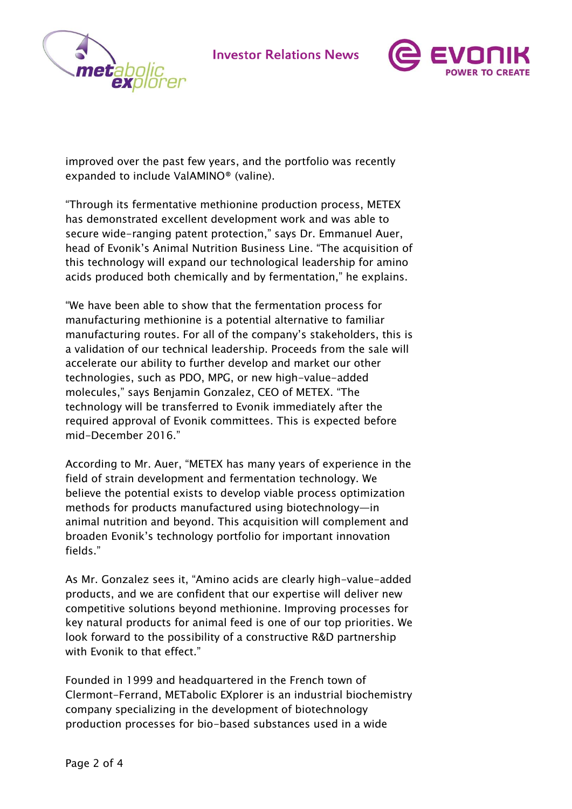

**Investor Relations News** 



improved over the past few years, and the portfolio was recently expanded to include ValAMINO® (valine).

"Through its fermentative methionine production process, METEX has demonstrated excellent development work and was able to secure wide-ranging patent protection," says Dr. Emmanuel Auer, head of Evonik's Animal Nutrition Business Line. "The acquisition of this technology will expand our technological leadership for amino acids produced both chemically and by fermentation," he explains.

"We have been able to show that the fermentation process for manufacturing methionine is a potential alternative to familiar manufacturing routes. For all of the company's stakeholders, this is a validation of our technical leadership. Proceeds from the sale will accelerate our ability to further develop and market our other technologies, such as PDO, MPG, or new high-value-added molecules," says Benjamin Gonzalez, CEO of METEX. "The technology will be transferred to Evonik immediately after the required approval of Evonik committees. This is expected before mid-December 2016."

According to Mr. Auer, "METEX has many years of experience in the field of strain development and fermentation technology. We believe the potential exists to develop viable process optimization methods for products manufactured using biotechnology—in animal nutrition and beyond. This acquisition will complement and broaden Evonik's technology portfolio for important innovation fields."

As Mr. Gonzalez sees it, "Amino acids are clearly high-value-added products, and we are confident that our expertise will deliver new competitive solutions beyond methionine. Improving processes for key natural products for animal feed is one of our top priorities. We look forward to the possibility of a constructive R&D partnership with Evonik to that effect."

Founded in 1999 and headquartered in the French town of Clermont-Ferrand, METabolic EXplorer is an industrial biochemistry company specializing in the development of biotechnology production processes for bio-based substances used in a wide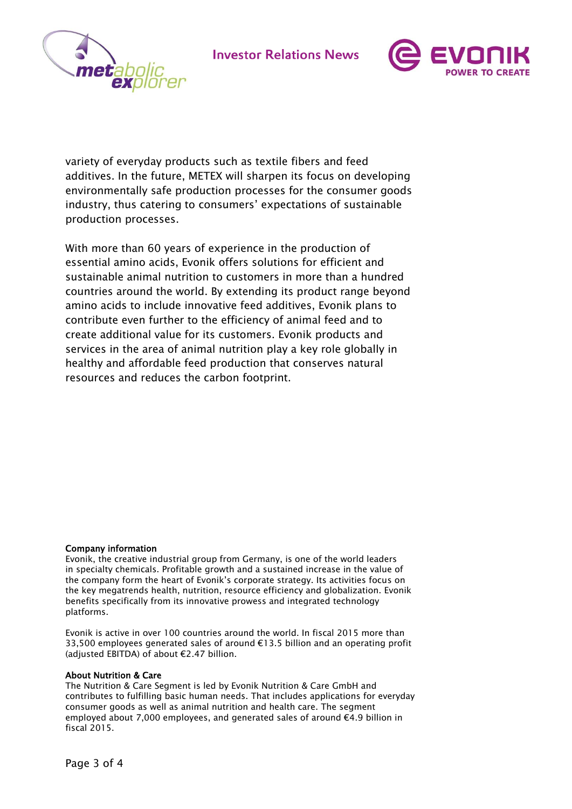





variety of everyday products such as textile fibers and feed additives. In the future, METEX will sharpen its focus on developing environmentally safe production processes for the consumer goods industry, thus catering to consumers' expectations of sustainable production processes.

With more than 60 years of experience in the production of essential amino acids, Evonik offers solutions for efficient and sustainable animal nutrition to customers in more than a hundred countries around the world. By extending its product range beyond amino acids to include innovative feed additives, Evonik plans to contribute even further to the efficiency of animal feed and to create additional value for its customers. Evonik products and services in the area of animal nutrition play a key role globally in healthy and affordable feed production that conserves natural resources and reduces the carbon footprint.

# Company information

Evonik, the creative industrial group from Germany, is one of the world leaders in specialty chemicals. Profitable growth and a sustained increase in the value of the company form the heart of Evonik's corporate strategy. Its activities focus on the key megatrends health, nutrition, resource efficiency and globalization. Evonik benefits specifically from its innovative prowess and integrated technology platforms.

Evonik is active in over 100 countries around the world. In fiscal 2015 more than 33,500 employees generated sales of around €13.5 billion and an operating profit (adjusted EBITDA) of about €2.47 billion.

# About Nutrition & Care

The Nutrition & Care Segment is led by Evonik Nutrition & Care GmbH and contributes to fulfilling basic human needs. That includes applications for everyday consumer goods as well as animal nutrition and health care. The segment employed about 7,000 employees, and generated sales of around €4.9 billion in fiscal 2015.